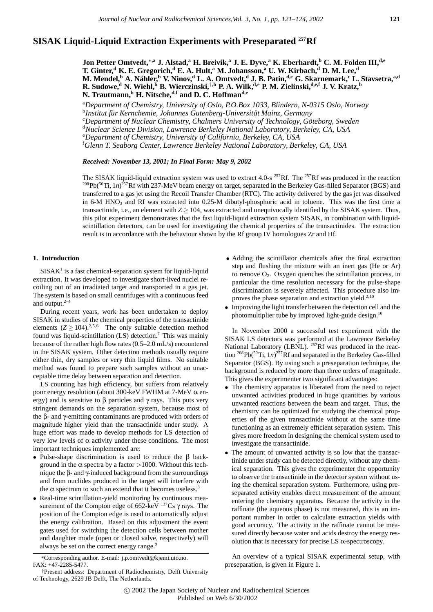# **SISAK Liquid-Liquid Extraction Experiments with Preseparated 257Rf**

**Jon Petter Omtvedt,**∗**,a J. Alstad,<sup>a</sup> H. Breivik,<sup>a</sup> J. E. Dyve,<sup>a</sup> K. Eberhardt,b C. M. Folden III,d,e T. Ginter,<sup>d</sup> K. E. Gregorich,<sup>d</sup> E. A. Hult,a M. Johansson,<sup>a</sup> U. W. Kirbach,<sup>d</sup> D. M. Lee,<sup>d</sup> M. Mendel,b A. Nahler, ¨ <sup>b</sup> V. Ninov,<sup>d</sup> L. A. Omtvedt,<sup>d</sup> J. B. Patin,d,e G. Skarnemark,<sup>c</sup> L. Stavsetra,a,d R.** Sudowe,<sup>d</sup> N. Wiehl,  $\overset{6}{\phantom{2}}$  B. Wierczinski,  $\overset{1}{\phantom{2}}$ , P. A. Wilk,  $\overset{d}{\phantom{2}}$ , P. M. Zielinski,  $\overset{d}{\phantom{2}}$ , J. V. Kratz,  $\overset{6}{\phantom{2}}$ **N. Trautmann,<sup>b</sup> H. Nitsche,d,f and D. C. Hoffmand,e**

a *Department of Chemistry, University of Oslo, P.O.Box 1033, Blindern, N-0315 Oslo, Norway* <sup>b</sup>Institut für Kernchemie, Johannes Gutenberg-Universität Mainz, Germany<br><sup>©</sup>Department of Nuclear Chemistry, Chalmers University of Technology, Gö <sup>c</sup>Department of Nuclear Chemistry, Chalmers University of Technology, Göteborg, Sweden

*Nuclear Science Division, Lawrence Berkeley National Laboratory, Berkeley, CA, USA*

e *Department of Chemistry, University of California, Berkeley, CA, USA*

f *Glenn T. Seaborg Center, Lawrence Berkeley National Laboratory, Berkeley, CA, USA*

## *Received: November 13, 2001; In Final Form: May 9, 2002*

The SISAK liquid-liquid extraction system was used to extract 4.0-s <sup>257</sup>Rf. The <sup>257</sup>Rf was produced in the reaction <sup>208</sup>Pb(<sup>50</sup>Ti, 1*n*)<sup>257</sup>Rf with 237-MeV beam energy on target, separated in the Berkeley Gas-filled Separator (BGS) and transferred to a gas jet using the Recoil Transfer Chamber (RTC). The activity delivered by the gas jet was dissolved in 6-M HNO<sub>3</sub> and Rf was extracted into 0.25-M dibutyl-phosphoric acid in toluene. This was the first time a transactinide, i.e., an element with  $Z > 104$ , was extracted and unequivocally identified by the SISAK system. Thus, this pilot experiment demonstrates that the fast liquid-liquid extraction system SISAK, in combination with liquidscintillation detectors, can be used for investigating the chemical properties of the transactinides. The extraction result is in accordance with the behaviour shown by the Rf group IV homologues Zr and Hf.

# **1. Introduction**

 $SISAK<sup>1</sup>$  is a fast chemical-separation system for liquid-liquid extraction. It was developed to investigate short-lived nuclei recoiling out of an irradiated target and transported in a gas jet. The system is based on small centrifuges with a continuous feed and output. $2-4$ 

During recent years, work has been undertaken to deploy SISAK in studies of the chemical properties of the transactinide elements  $(Z \ge 104)$ <sup>2,5,6</sup> The only suitable detection method found was liquid-scintillation  $(LS)$  detection.<sup>7</sup> This was mainly because of the rather high flow rates (0.5–2.0 mL/s) encountered in the SISAK system. Other detection methods usually require either thin, dry samples or very thin liquid films. No suitable method was found to prepare such samples without an unacceptable time delay between separation and detection.

LS counting has high efficiency, but suffers from relatively poor energy resolution (about 300-keV FWHM at 7-MeV α energy) and is sensitive to  $\beta$  particles and  $\gamma$  rays. This puts very stringent demands on the separation system, because most of the β- and γ-emitting contaminants are produced with orders of magnitude higher yield than the transactinide under study. A huge effort was made to develop methods for LS detection of very low levels of α activity under these conditions. The most important techniques implemented are:

- Pulse-shape discrimination is used to reduce the β background in the  $\alpha$  spectra by a factor >1000. Without this technique the β- and γ-induced background from the surroundings and from nuclides produced in the target will interfere with the  $\alpha$  spectrum to such an extend that it becomes useless.<sup>8</sup>
- Real-time scintillation-yield monitoring by continuous measurement of the Compton edge of 662-keV  $^{137}Cs$   $\gamma$  rays. The position of the Compton edge is used to automatically adjust the energy calibration. Based on this adjustment the event gates used for switching the detection cells between mother and daughter mode (open or closed valve, respectively) will always be set on the correct energy range.<sup>9</sup>

∗Corresponding author. E-mail: j.p.omtvedt@kjemi.uio.no. FAX: +47-2285-5477.

- Adding the scintillator chemicals after the final extraction step and flushing the mixture with an inert gas (He or Ar) to remove  $O_2$ . Oxygen quenches the scintillation process, in particular the time resolution necessary for the pulse-shape discrimination is severely affected. This procedure also improves the phase separation and extraction yield.<sup>2,10</sup>
- Improving the light transfer between the detection cell and the photomultiplier tube by improved light-guide design.10

In November 2000 a successful test experiment with the SISAK LS detectors was performed at the Lawrence Berkeley National Laboratory (LBNL). <sup>257</sup>Rf was produced in the reaction 208Pb(50Ti, 1*n*) 257Rf and separated in the Berkeley Gas-filled Separator (BGS). By using such a preseparation technique, the background is reduced by more than three orders of magnitude. This gives the experimenter two significant advantages:

- The chemistry apparatus is liberated from the need to reject unwanted activities produced in huge quantities by various unwanted reactions between the beam and target. Thus, the chemistry can be optimized for studying the chemical properties of the given transactinide without at the same time functioning as an extremely efficient separation system. This gives more freedom in designing the chemical system used to investigate the transactinide.
- The amount of unwanted activity is so low that the transactinide under study can be detected directly, without any chemical separation. This gives the experimenter the opportunity to observe the transactinide in the detector system without using the chemical separation system. Furthermore, using preseparated activity enables direct measurement of the amount entering the chemistry apparatus. Because the activity in the raffinate (the aqueous phase) is not measured, this is an important number in order to calculate extraction yields with good accuracy. The activity in the raffinate cannot be measured directly because water and acids destroy the energy resolution that is necessary for precise LS  $\alpha$ -spectroscopy.

An overview of a typical SISAK experimental setup, with preseparation, is given in Figure 1.

<sup>†</sup>Present address: Department of Radiochemistry, Delft University of Technology, 2629 JB Delft, The Netherlands.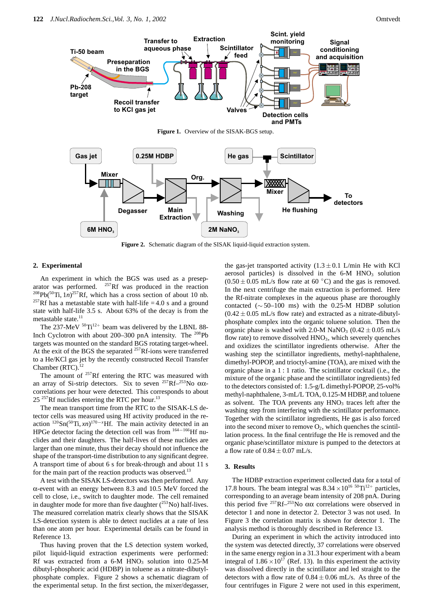

**Figure 2.** Schematic diagram of the SISAK liquid-liquid extraction system.

# **2. Experimental**

An experiment in which the BGS was used as a preseparator was performed.  $^{257}$ Rf was produced in the reaction  $^{208}Pb(^{50}Ti, 1n)^{257}Rf$ , which has a cross section of about 10 nb. <sup>257</sup>Rf has a metastable state with half-life = 4.0 s and a ground state with half-life 3.5 s. About 63% of the decay is from the metastable state.<sup>11</sup>

The  $237$ -MeV  $50$ <sup>-Ti<sub>12+</sub> beam was delivered by the LBNL 88-</sup> Inch Cyclotron with about 200–300 pnA intensity. The <sup>208</sup>Pb targets was mounted on the standard BGS rotating target-wheel. At the exit of the BGS the separated <sup>257</sup>Rf-ions were transferred to a He/KCl gas jet by the recently constructed Recoil Transfer Chamber (RTC).

The amount of  $257$ Rf entering the RTC was measured with an array of Si-strip detectors. Six to seven <sup>257</sup>Rf<sup>-253</sup>No ααcorrelations per hour were detected. This corresponds to about  $25^{257}$ Rf nuclides entering the RTC per hour.<sup>13</sup>

The mean transport time from the RTC to the SISAK-LS detector cells was measured using Hf activity produced in the reaction  ${}^{120}Sn({}^{50}Ti, xn){}^{170-x}Hf$ . The main activity detected in an HPGe detector facing the detection cell was from <sup>164–166</sup>Hf nuclides and their daughters. The half-lives of these nuclides are larger than one minute, thus their decay should not influence the shape of the transport-time distribution to any significant degree. A transport time of about 6 s for break-through and about 11 s for the main part of the reaction products was observed.<sup>13</sup>

A test with the SISAK LS-detectors was then performed. Any α-event with an energy between 8.3 and 10.5 MeV forced the cell to close, i.e., switch to daughter mode. The cell remained in daughter mode for more than five daughter  $(^{253}$ No) half-lives. The measured correlation matrix clearly shows that the SISAK LS-detection system is able to detect nuclides at a rate of less than one atom per hour. Experimental details can be found in Reference 13.

Thus having proven that the LS detection system worked, pilot liquid-liquid extraction experiments were performed: Rf was extracted from a  $6-M$  HNO<sub>3</sub> solution into  $0.25-M$ dibutyl-phosphoric acid (HDBP) in toluene as a nitrate-dibutylphosphate complex. Figure 2 shows a schematic diagram of the experimental setup. In the first section, the mixer/degasser,

the gas-jet transported activity  $(1.3 \pm 0.1 \text{ L/min} \text{ He with KCl})$ aerosol particles) is dissolved in the  $6-M$  HNO<sub>3</sub> solution  $(0.50 \pm 0.05 \text{ mL/s}$  flow rate at 60 °C) and the gas is removed. In the next centrifuge the main extraction is performed. Here the Rf-nitrate complexes in the aqueous phase are thoroughly contacted  $(\sim 50-100$  ms) with the 0.25-M HDBP solution  $(0.42 \pm 0.05 \text{ mL/s}$  flow rate) and extracted as a nitrate-dibutylphosphate complex into the organic toluene solution. Then the organic phase is washed with 2.0-M NaNO<sub>3</sub> (0.42  $\pm$  0.05 mL/s flow rate) to remove dissolved  $HNO<sub>3</sub>$ , which severely quenches and oxidizes the scintillator ingredients otherwise. After the washing step the scintillator ingredients, methyl-naphthalene, dimethyl-POPOP, and trioctyl-amine (TOA), are mixed with the organic phase in a 1 : 1 ratio. The scintillator cocktail (i.e., the mixture of the organic phase and the scintillator ingredients) fed to the detectors consisted of: 1.5-g/L dimethyl-POPOP, 25-vol% methyl-naphthalene, 3-mL/L TOA, 0.125-M HDBP, and toluene as solvent. The TOA prevents any  $HNO<sub>3</sub>$  traces left after the washing step from interfering with the scintillator performance. Together with the scintillator ingredients, He gas is also forced into the second mixer to remove  $O_2$ , which quenches the scintillation process. In the final centrifuge the He is removed and the organic phase/scintillator mixture is pumped to the detectors at a flow rate of  $0.84 \pm 0.07$  mL/s.

#### **3. Results**

The HDBP extraction experiment collected data for a total of 17.8 hours. The beam integral was  $8.34 \times 10^{16}$   $^{50}$ Ti<sup>12+</sup> particles, corresponding to an average beam intensity of 208 pnA. During this period five <sup>257</sup>Rf<sup>-253</sup>No  $\alpha\alpha$  correlations were observed in detector 1 and none in detector 2. Detector 3 was not used. In Figure 3 the correlation matrix is shown for detector 1. The analysis method is thoroughly described in Reference 13.

During an experiment in which the activity introduced into the system was detected directly, 37 correlations were observed in the same energy region in a 31.3 hour experiment with a beam integral of  $1.86 \times 10^{17}$  (Ref. 13). In this experiment the activity was dissolved directly in the scintillator and led straight to the detectors with a flow rate of  $0.84 \pm 0.06$  mL/s. As three of the four centrifuges in Figure 2 were not used in this experiment,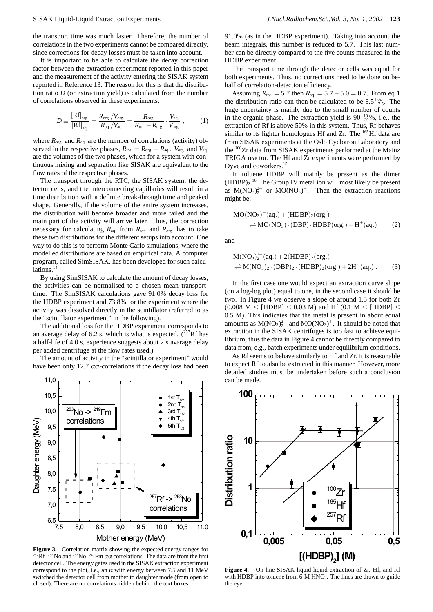the transport time was much faster. Therefore, the number of correlations in the two experiments cannot be compared directly, since corrections for decay losses must be taken into account.

It is important to be able to calculate the decay correction factor between the extraction experiment reported in this paper and the measurement of the activity entering the SISAK system reported in Reference 13. The reason for this is that the distribution ratio *D* (or extraction yield) is calculated from the number of correlations observed in these experiments:

$$
D \equiv \frac{\left[\text{Rf}\right]_{\text{org.}}}{\left[\text{Rf}\right]_{\text{aq.}}} = \frac{R_{\text{org.}}/V_{\text{org.}}}{R_{\text{aq.}}/V_{\text{aq.}}} = \frac{R_{\text{org.}}}{R_{\text{tot.}} - R_{\text{org.}}}\cdot \frac{V_{\text{aq.}}}{V_{\text{org.}}},\tag{1}
$$

where  $R_{\text{org.}}$  and  $R_{\text{aq.}}$  are the number of correlations (activity) observed in the respective phases,  $R_{\text{tot}} = R_{\text{org.}} + R_{\text{ao.}}$ .  $V_{\text{org.}}$  and  $V_{\text{ao.}}$ are the volumes of the two phases, which for a system with continuous mixing and separation like SISAK are equivalent to the flow rates of the respective phases.

The transport through the RTC, the SISAK system, the detector cells, and the interconnecting capillaries will result in a time distribution with a definite break-through time and peaked shape. Generally, if the volume of the entire system increases, the distribution will become broader and more tailed and the main part of the activity will arrive later. Thus, the correction necessary for calculating  $R_{aq}$  from  $R_{tot}$  and  $R_{org}$  has to take these two distributions for the different setups into account. One way to do this is to perform Monte Carlo simulations, where the modelled distributions are based on empirical data. A computer program, called SimSISAK, has been developed for such calculations.<sup>14</sup>

By using SimSISAK to calculate the amount of decay losses, the activities can be normalised to a chosen mean transporttime. The SimSISAK calculations gave 91.0% decay loss for the HDBP experiment and 73.8% for the experiment where the activity was dissolved directly in the scintillator (referred to as the "scintillator experiment" in the following).

The additional loss for the HDBP experiment corresponds to an average delay of 6.2 s, which is what is expected.  $(^{257}Rf$  has a half-life of 4.0 s, experience suggests about 2 s avarage delay per added centrifuge at the flow rates used.)

The amount of activity in the "scintillator experiment" would have been only 12.7  $\alpha\alpha$ -correlations if the decay loss had been



**Figure 3.** Correlation matrix showing the expected energy ranges for <sup>257</sup>Rf<sup>-253</sup>No and <sup>253</sup>No<sup>-249</sup>Fm  $\alpha\alpha$  correlations. The data are from the first detector cell. The energy gates used in the SISAK extraction experiment correspond to the plot, i.e., an  $\alpha$  with energy between 7.5 and 11 MeV switched the detector cell from mother to daughter mode (from open to closed). There are no correlations hidden behind the text boxes.

91.0% (as in the HDBP experiment). Taking into account the beam integrals, this number is reduced to 5.7. This last number can be directly compared to the five counts measured in the HDBP experiment.

The transport time through the detector cells was equal for both experiments. Thus, no corrections need to be done on behalf of correlation-detection efficiency.

Assuming  $R_{\text{tot.}} = 5.7$  then  $R_{\text{aq.}} = 5.7 - 5.0 = 0.7$ . From eq 1 the distribution ratio can then be calculated to be  $8.5^{+\infty}_{-7.5}$ . The huge uncertainty is mainly due to the small number of counts in the organic phase. The extraction yield is  $90^{+10}_{-30}\%$ , i.e., the extraction of Rf is above 50% in this system. Thus, Rf behaves similar to its lighter homologues Hf and Zr. The <sup>165</sup>Hf data are from SISAK experiments at the Oslo Cyclotron Laboratory and the <sup>100</sup>Zr data from SISAK experiments performed at the Mainz TRIGA reactor. The Hf and Zr experiments were performed by Dyve and coworkers.15

In toluene HDBP will mainly be present as the dimer  $(HDBP)<sub>2</sub>$ .<sup>16</sup> The Group IV metal ion will most likely be present as  $M(NO<sub>3</sub>)<sub>2</sub><sup>2+</sup>$  or  $MO(NO<sub>3</sub>)<sup>+</sup>$ . Then the extraction reactions might be:

$$
MO(NO3)+(aq.) + (HDBP)2(org.)
$$
  
\n
$$
\Rightarrow MO(NO3) \cdot (DBP) \cdot HDBP(org.) + H+(aq.)
$$
 (2)

and

$$
M(NO3)22+(aq.) + 2(HDBP)2(org.)
$$
  

$$
\Rightarrow M(NO3)2 \cdot (DBP)2 \cdot (HDBP)2(org.) + 2H+(aq.)
$$
 (3)

In the first case one would expect an extraction curve slope (on a log-log plot) equal to one, in the second case it should be two. In Figure 4 we observe a slope of around 1.5 for both Zr  $(0.008 \text{ M} <$  [HDBP]  $< 0.03 \text{ M}$ ) and Hf (0.1 M  $<$  [HDBP]  $<$ 0.5 M). This indicates that the metal is present in about equal amounts as  $M(NO<sub>3</sub>)<sub>2</sub><sup>2+</sup>$  and  $MO(NO<sub>3</sub>)<sup>+</sup>$ . It should be noted that extraction in the SISAK centrifuges is too fast to achieve equilibrium, thus the data in Figure 4 cannot be directly compared to data from, e.g., batch experiments under equilibrium conditions.

As Rf seems to behave similarly to Hf and Zr, it is reasonable to expect Rf to also be extracted in this manner. However, more detailed studies must be undertaken before such a conclusion can be made.



Figure 4. On-line SISAK liquid-liquid extraction of Zr, Hf, and Rf with HDBP into toluene from  $6-M$  HNO<sub>3</sub>. The lines are drawn to guide the eye.